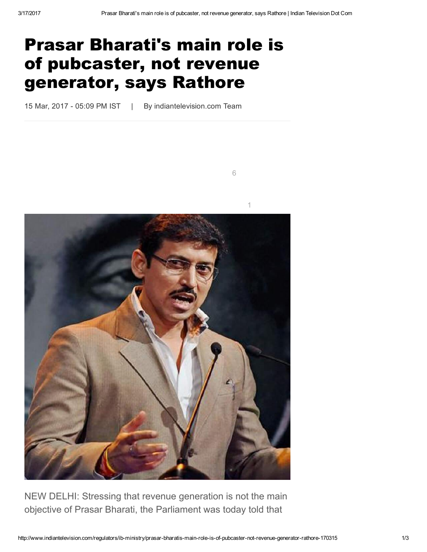[6](http://www.facebook.com/sharer/sharer.php?s=100&p[url]=http://www.indiantelevision.com/regulators/ib-ministry/prasar-bharatis-main-role-is-of-pubcaster-not-revenue-generator-rathore-170315&p[images][0]=&p[title]=Share%20on%20Facebook&p[summary]=)

## Prasar Bharati's main role is of pubcaster, not revenue generator, says Rathore

15 Mar, 2017 - 05:09 PM IST | By indiantelevision.com Team



NEW DELHI: Stressing that revenue generation is not the main objective of Prasar Bharati, the Parliament was today told that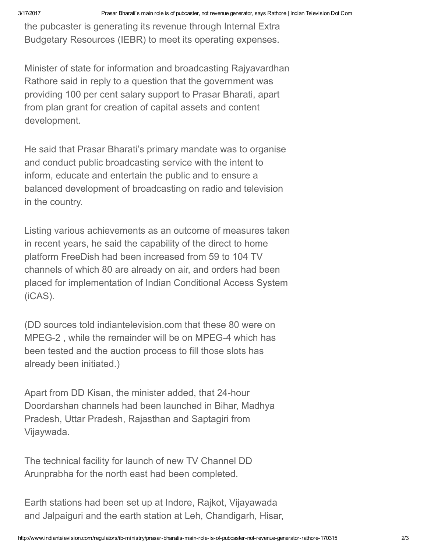the pubcaster is generating its revenue through Internal Extra Budgetary Resources (IEBR) to meet its operating expenses.

Minister of state for information and broadcasting Rajyavardhan Rathore said in reply to a question that the government was providing 100 per cent salary support to Prasar Bharati, apart from plan grant for creation of capital assets and content development.

He said that Prasar Bharati's primary mandate was to organise and conduct public broadcasting service with the intent to inform, educate and entertain the public and to ensure a balanced development of broadcasting on radio and television in the country.

Listing various achievements as an outcome of measures taken in recent years, he said the capability of the direct to home platform FreeDish had been increased from 59 to 104 TV channels of which 80 are already on air, and orders had been placed for implementation of Indian Conditional Access System (iCAS).

(DD sources told indiantelevision.com that these 80 were on MPEG-2, while the remainder will be on MPEG-4 which has been tested and the auction process to fill those slots has already been initiated.)

Apart from DD Kisan, the minister added, that 24-hour Doordarshan channels had been launched in Bihar, Madhya Pradesh, Uttar Pradesh, Rajasthan and Saptagiri from Vijaywada.

The technical facility for launch of new TV Channel DD Arunprabha for the north east had been completed.

Earth stations had been set up at Indore, Rajkot, Vijayawada and Jalpaiguri and the earth station at Leh, Chandigarh, Hisar,